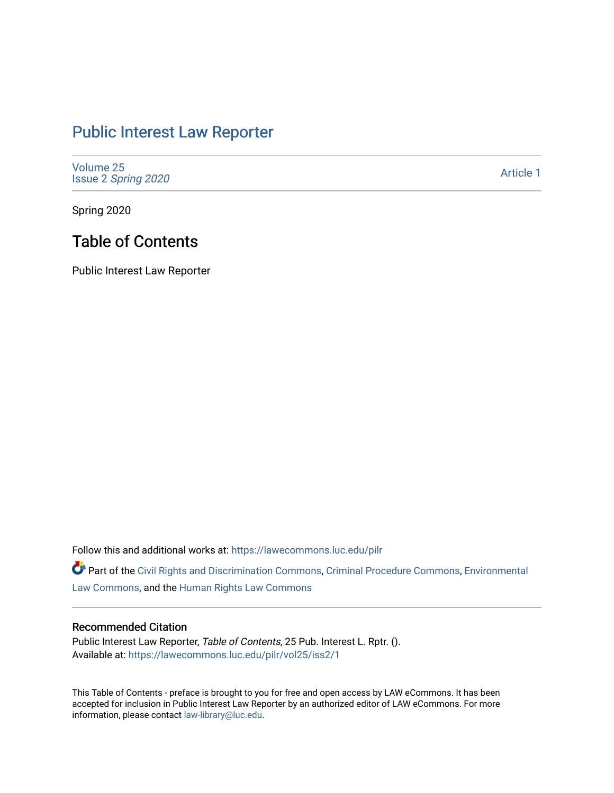## [Public Interest Law Reporter](https://lawecommons.luc.edu/pilr)

[Volume 25](https://lawecommons.luc.edu/pilr/vol25) Issue 2 [Spring 2020](https://lawecommons.luc.edu/pilr/vol25/iss2) 

[Article 1](https://lawecommons.luc.edu/pilr/vol25/iss2/1) 

Spring 2020

## Table of Contents

Public Interest Law Reporter

Follow this and additional works at: [https://lawecommons.luc.edu/pilr](https://lawecommons.luc.edu/pilr?utm_source=lawecommons.luc.edu%2Fpilr%2Fvol25%2Fiss2%2F1&utm_medium=PDF&utm_campaign=PDFCoverPages) 

Part of the [Civil Rights and Discrimination Commons,](http://network.bepress.com/hgg/discipline/585?utm_source=lawecommons.luc.edu%2Fpilr%2Fvol25%2Fiss2%2F1&utm_medium=PDF&utm_campaign=PDFCoverPages) [Criminal Procedure Commons,](http://network.bepress.com/hgg/discipline/1073?utm_source=lawecommons.luc.edu%2Fpilr%2Fvol25%2Fiss2%2F1&utm_medium=PDF&utm_campaign=PDFCoverPages) [Environmental](http://network.bepress.com/hgg/discipline/599?utm_source=lawecommons.luc.edu%2Fpilr%2Fvol25%2Fiss2%2F1&utm_medium=PDF&utm_campaign=PDFCoverPages)  [Law Commons,](http://network.bepress.com/hgg/discipline/599?utm_source=lawecommons.luc.edu%2Fpilr%2Fvol25%2Fiss2%2F1&utm_medium=PDF&utm_campaign=PDFCoverPages) and the [Human Rights Law Commons](http://network.bepress.com/hgg/discipline/847?utm_source=lawecommons.luc.edu%2Fpilr%2Fvol25%2Fiss2%2F1&utm_medium=PDF&utm_campaign=PDFCoverPages)

## Recommended Citation

Public Interest Law Reporter, Table of Contents, 25 Pub. Interest L. Rptr. (). Available at: [https://lawecommons.luc.edu/pilr/vol25/iss2/1](https://lawecommons.luc.edu/pilr/vol25/iss2/1?utm_source=lawecommons.luc.edu%2Fpilr%2Fvol25%2Fiss2%2F1&utm_medium=PDF&utm_campaign=PDFCoverPages)

This Table of Contents - preface is brought to you for free and open access by LAW eCommons. It has been accepted for inclusion in Public Interest Law Reporter by an authorized editor of LAW eCommons. For more information, please contact [law-library@luc.edu.](mailto:law-library@luc.edu)